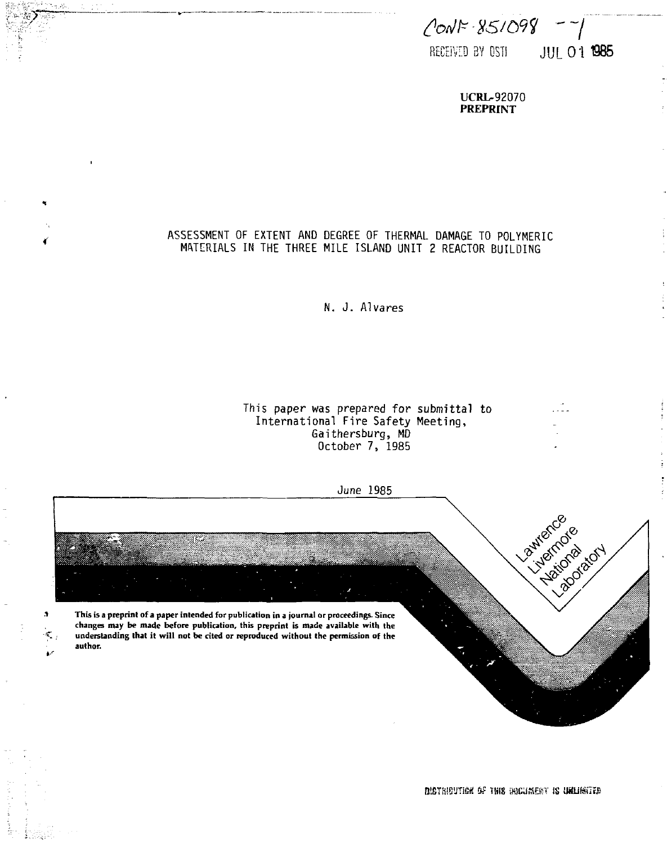CONF 851098  $-$ RECEIVED BY OSTI JULI 01 1985

UCRL-92070 **PREPRINT** 

# ASSESSMENT OF EXTENT AND DEGREE OF THERMAL DAMAGE TO POLYMERIC MATERIALS IN THE THREE MILE ISLAND UNIT 2 REACTOR BUILDING

N. J. Alvares

## This paper was prepared for submittal to International Fire Safety Meeting, Gaithersburg, MD October 7, 1985

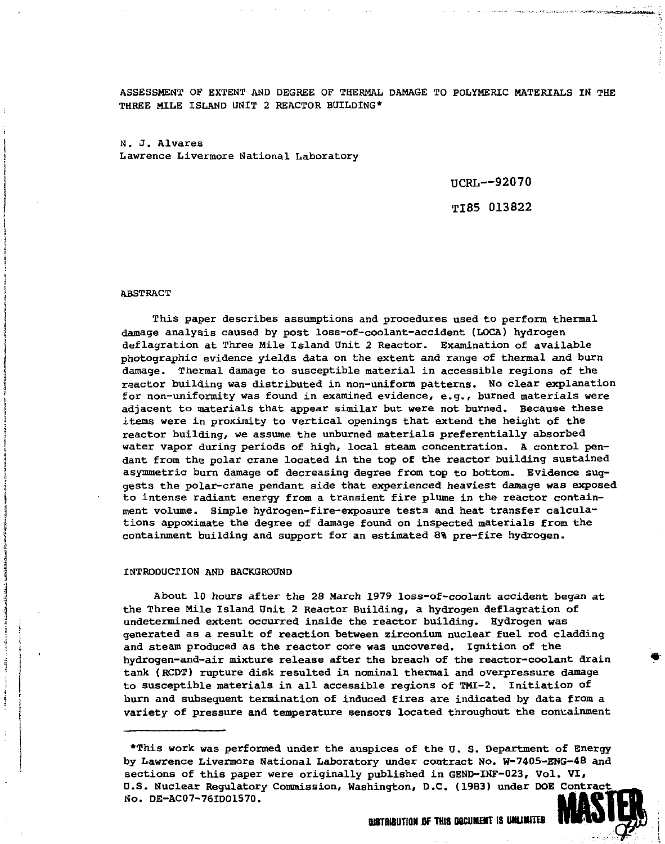ASSESSMENT OF EXTENT AND DEGREE OF THERMAL DAMAGE TO POLYMERIC MATERIALS IN THE THREE MILE ISLAND UNIT 2 REACTOR BUILDING\*

N. J. Alvares Lawrence Livermore National Laboratory

> **UCRL—92070 TI85 013822**

## ABSTRACT

i.

This paper describes assumptions and procedures used to perform thermal damage analysis caused by post loss-of-coolant-accident (LOCA) hydrogen deflagration at Three Mile Island Unit 2 Reactor. Examination of available photographic evidence yields data on the extent and range of thermal and burn damage. Thermal damage to susceptible material in accessible regions of the reactor building was distributed in non-uniform patterns. No clear explanation for non-uniformity was found in examined evidence, e.g., burned materials were adjacent to materials that appear similar but were not burned. Because these items were in proximity to vertical openings that extend the height of the reactor building, we assume the unburned materials preferentially absorbed water vapor during periods of high, local steam concentration. A control pendant from the polar crane located in the top of the reactor building sustained asymmetric burn damage of decreasing degree from top to bottom. Evidence suggests the polar-crane pendant side that experienced heaviest damage was exposed to intense radiant energy from a transient fire plume in the reactor containment volume. Simple hydrogen-fire-exposure tests and heat transfer calculations appoximate the degree of damage found on inspected materials from the containment building and support for an estimated 8% pre-fire hydrogen.

## INTRODUCTION AND BACKGROUND

About 10 hours after the 28 March 1979 loss-of-coolant accident began at the Three Mile Island Unit 2 Reactor Building, a hydrogen deflagration of undetermined extent occurred inside the reactor building. Hydrogen was generated as a result of reaction between zirconium nuclear fuel rod cladding and steam produced as the reactor core was uncovered. Ignition of the hydrogen-and-air mixture release after the breach of the reactor-coolant drain tank (RCDT) rupture disk resulted in nominal thermal and overpressure damage to susceptible materials in all accessible regions of TMI-2. Initiation of burn and subsequent termination of induced fires are indicated by data from a variety of pressure and temperature sensors located throughout the containment

<sup>\*</sup>This work was performed under the auspices of the U. S. Department of Energy by Lawrence Livermore National Laboratory under contract No. W-7405-ENG-48 and sections of this paper were originally published in GEND-INF-023, Vol. VI, U.S. Nuclear Regulatory Commission, Washington, D.C. (1983) under DOE Contract No. DE-AC07-76IDO1570.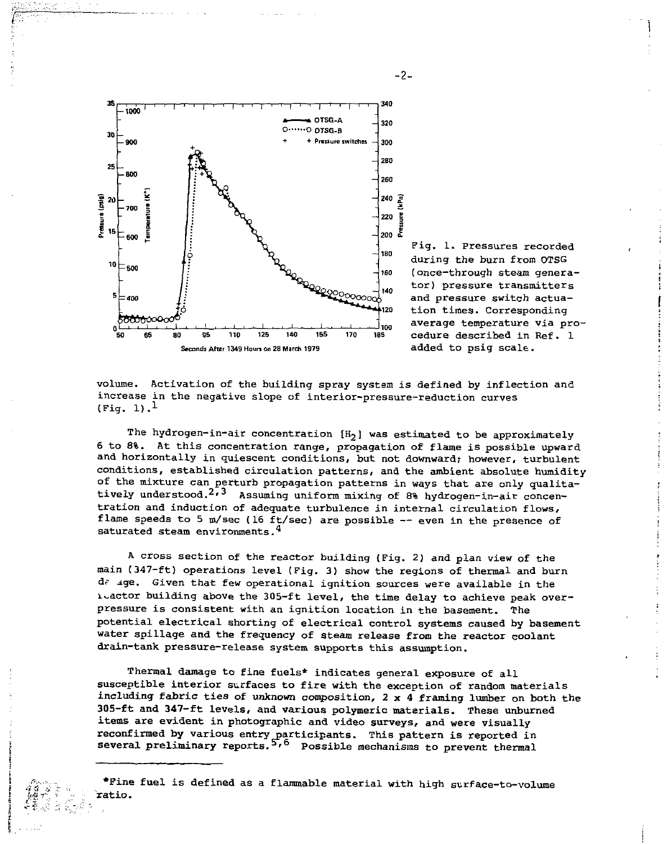

*I* 

Fig. 1. Pressures recorded during the burn from OTSG (once-through steam generator) pressure transmitters and pressure switch actuation times. Corresponding average temperature via procedure described in Ref. 1 added to psig scale.

volume. Activation of the building spray system is defined by inflection and increase in the negative slope of interior-pressure-reduction curves (Fig. 1).<sup>1</sup>

The hydrogen-in-air concentration  $[H<sub>2</sub>]$  was estimated to be approximately 6 to 8%. At this concentration range, propagation of flame is possible upward and horizontally in quiescent conditions, but not downward; however, turbulent conditions, established circulation patterns, and the ambient absolute humidity of the mixture can perturb propagation patterns in ways that are only qualitatively understood.<sup>2</sup>' 3 Assuming uniform mixing of 8% hydrogen-in-air concentration and induction of adequate turbulence in internal circulation flows, flame speeds to 5 m/sec (16 ft/sec) are possible — even in the presence of saturated steam environments.<sup>4</sup>

A cross section of the reactor building (Fig. 2) and plan view of the main (347-ft) operations level (Fig. 3) show the regions of thermal and burn de ige. Given that few operational ignition sources were available in the iv.actor building above the 305-ft level, the time delay to achieve peak overpressure is consistent with an ignition location in the basement. The potential electrical shorting of electrical control systems caused by basement water spillage and the frequency of steam release from the reactor coolant drain-tank pressure-release system supports this assumption.

Thermal damage to fine fuels\* indicates general exposure of all susceptible interior surfaces to fire with the exception of random materials including fabric ties of unknown composition, 2x 4 framing lumber on both the 305-ft and 347-ft levels, and various polymeric materials. These unburned items are evident in photographic and video surveys, and were visually reconfirmed by various entry participants. This pattern is reported in several preliminary reports.<sup>3,0</sup> Possible mechanisms to prevent thermal

\*Fine fuel is defined as a flammable material with high surface-to-volume ratio.

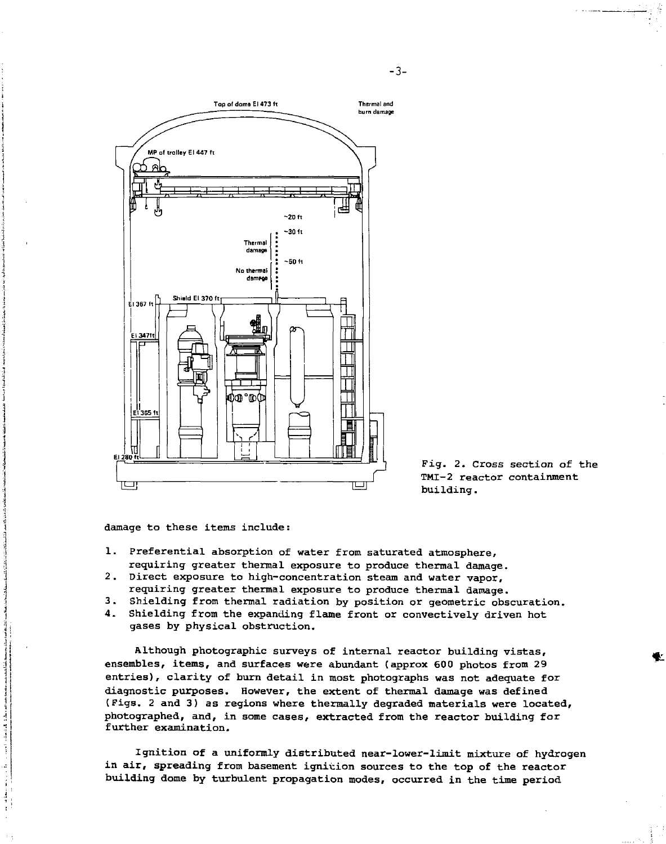

Pig. 2. Cross section of the TMI-2 reactor containment building.

## damage to these items include:

- 1. Preferential absorption of water from saturated atmosphere, requiring greater thermal exposure to produce thermal damage.
- 2. Direct exposure to high-concentration steam and water vapor, requiring greater thermal exposure to produce thermal damage.
- 3. Shielding from thermal radiation by position or geometric obscuration.
- 4. Shielding from the expanding flame front or convectively driven hot gases by physical obstruction.

Although photographic surveys of internal reactor building vistas, ensembles, items, and surfaces were abundant (approx 600 photos from 29 entries), clarity of burn detail in most photographs was not adequate for diagnostic purposes. However, the extent of thermal damage was defined (Figs. 2 and 3) as regions where thermally degraded materials were located, photographed, and, in some cases, extracted from the reactor building for further examination.

Ignition of a uniformly distributed near-lower-limit mixture of hydrogen in air, spreading from basement ignition sources to the top of the reactor building dome by turbulent propagation modes, occurred in the time period

**-3-**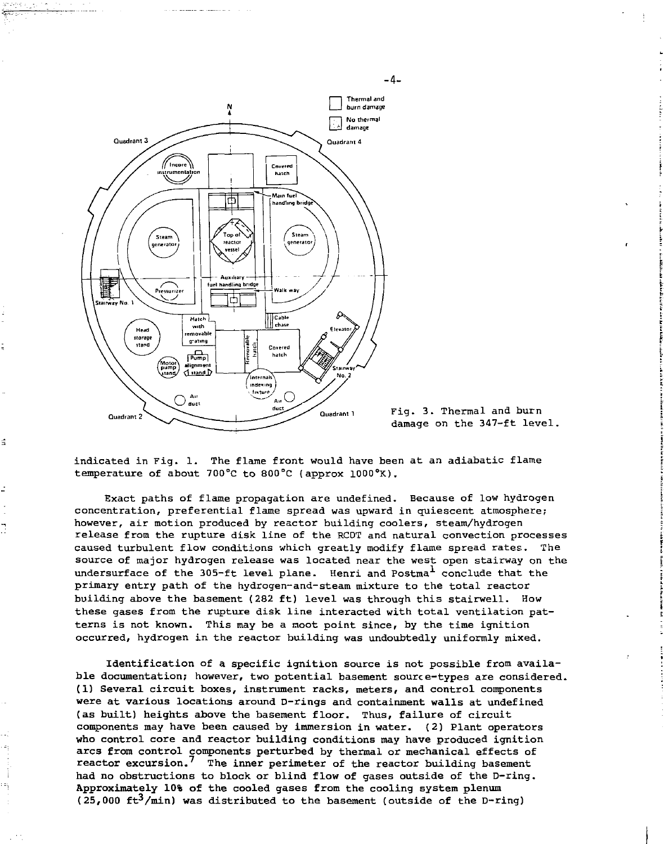

É.

Ċ.



indicated in Fig. 1. The flame front would have been at an adiabatic flame temperature of about 700°C to 800°C ( approx 1000°K).

Exact paths of flame propagation are undefined. Because of low hydrogen concentration, preferential flame spread was upward in quiescent atmosphere; however, air motion produced by reactor building coolers, steam/hydrogen release from the rupture disk line of the RCDT and natural convection processes caused turbulent flow conditions which greatly modify flame spread rates. The source of major hydrogen release was located near the west open stairway on the undersurface of the 305-ft level plane. Henri and Postma<sup>l</sup> conclude that the primary entry path of the hydrogen-and-steam mixture to the total reactor building above the basement (282 ft) level was through this stairwell. How these gases from the rupture disk line interacted with total ventilation patterns is not known. This may be a moot point since, by the time ignition occurred, hydrogen in the reactor building was undoubtedly uniformly mixed.

Identification of a specific ignition source is not possible from available documentation; however, two potential basement source-types are considered. (1) Several circuit boxes, instrument racks, meters, and control components were at various locations around D-rings and containment walls at undefined (as built) heights above the basement floor. Thus, failure of circuit components may have been caused by immersion in water. (2) Plant operators who control core and reactor building conditions may have produced ignition arcs from control components perturbed by thermal or mechanical effects of reactor excursion.' The inner perimeter of the reactor building basement had no obstructions to block or blind flow of gases outside of the D-ring. Approximately 10% of the cooled gases from the cooling system plenum (25,000 ft<sup>3</sup>/min) was distributed to the basement (outside of the D-ring)

-4-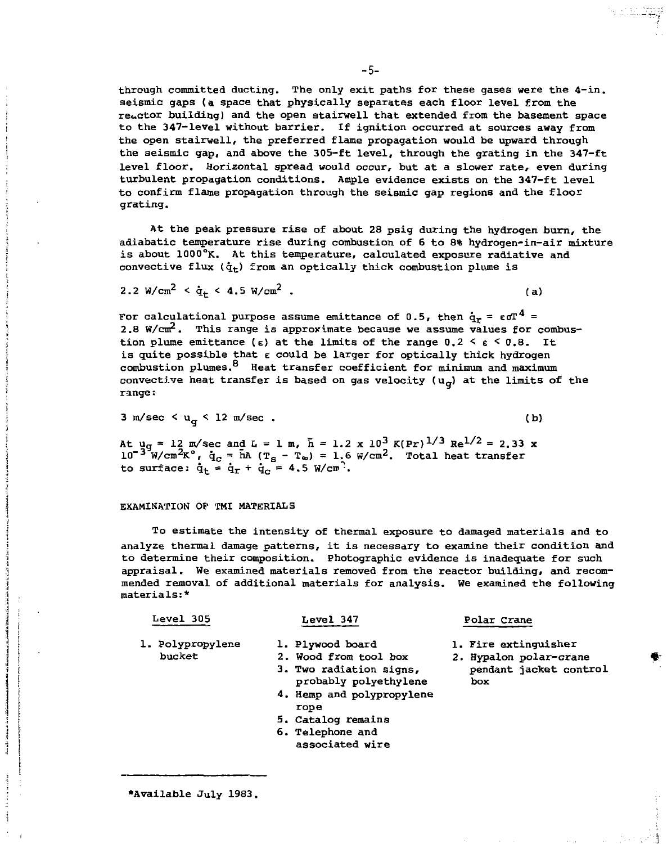through committed ducting. The only exit paths for these gases were the 4-in. seismic gaps (a space that physically separates each floor level from the recctor building) and the open stairwell that extended from the basement space to the 347-level without barrier. If ignition occurred at sources away from the open stairwell, the preferred flame propagation would be upward through the seismic gap, and above the 305-ft level, through the grating in the 347-ft level floor. Horizontal spread would occur, but at a slower rate, even during turbulent propagation conditions. Ample evidence exists on the 347-ft level to confirm flame propagation through the seismic gap regions and the floor grating.

At the peak pressure rise of about 28 psig during the hydrogen burn, the adiabatic temperature rise during combustion of 6 to 8% hydrogen-in-air mixture is about 1000°K. At this temperature, calculated exposure radiative and convective flux  $(\dot{q}_t)$  from an optically thick combustion plume is

2.2  $W/cm^2 < \dot{q}_+ < 4.5 W/cm^2$  (a)

For calculational purpose assume emittance of 0.5, then  $\mathrm{\dot{q}_r}$  =  $\mathrm{\dot{e}of^{4}}$  = 2.8 W/ $\rm cm^2$ . This range is approximate because we assume values for combustion plume emittance ( $\epsilon$ ) at the limits of the range 0.2 <  $\epsilon$  < 0.8. It is quite possible that  $\epsilon$  could be larger for optically thick hydrogen combustion plumes.<sup>8</sup> Heat transfer coefficient for minimum and maximum convective heat transfer is based on gas velocity ( $u_{\alpha}$ ) at the limits of the range:

$$
3 m/sec < u_{\sigma} < 12 m/sec.
$$

At  $y_g = 12$  m/sec and  $L = 1$  m,  $\bar{h} = 1.2$  x  $10^3$  K(Pr)<sup>1/3</sup> Re<sup>1/2</sup> = 2.33 x  $10^{-3}$  W/cm<sup>2</sup>K°,  $\dot{q}_c = \bar{h}$ A (T<sub>S</sub> - T<sub>∞</sub>) = 1.6 W/cm<sup>2</sup>. Total heat transfer to surface:  $\dot{q}_t = \dot{q}_r + \dot{q}_c = 4.5$  W/cm  $\cdot$ 

#### EXAMINATION OF TMI MATERIALS

To estimate the intensity of thermal exposure to damaged materials and to analyze thermal damage patterns, it is necessary to examine their condition and to determine their composition. Photographic evidence is inadequate for such appraisal. We examined materials removed from the reactor building, and recommended removal of additional materials for analysis. We examined the following materials: \*

| Level 305        | Level 347                                        | Polar Crane                          |
|------------------|--------------------------------------------------|--------------------------------------|
| l. Polypropylene | 1. Plywood board                                 | 1. Fire extinguish                   |
| bucket           | 2. Wood from tool box<br>3. Two radiation signs, | 2. Hypalon polar-o<br>pendant jacket |

- probably polyethylene 4. Hemp and polypropylene rop e
- 5. Catalog remains
- 6. Telephone and
- associated wire
- 1er
- crane control box

•Available July 1983.

مستحدة والمنابذة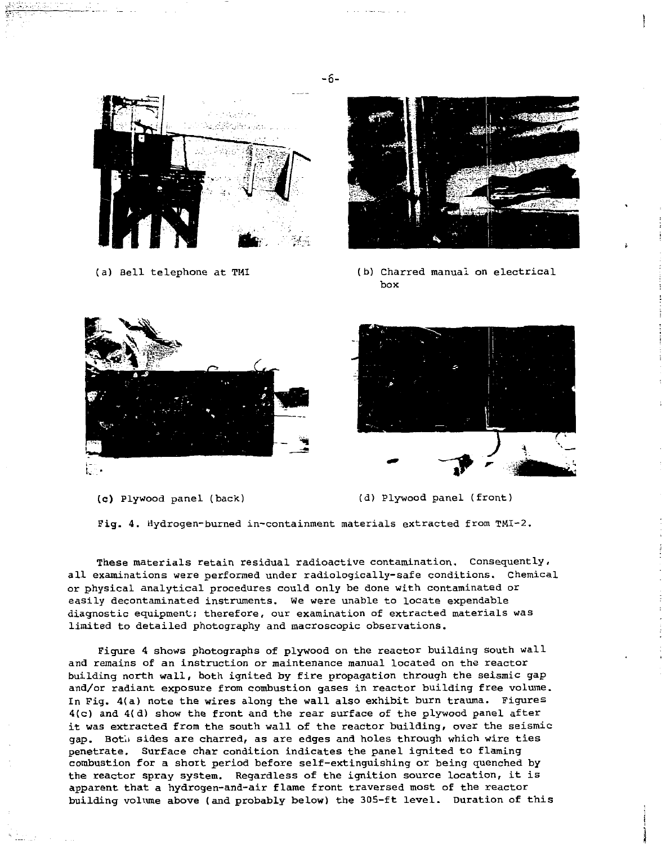



(a) Bell telephone at THI (b) charred manual on electrical box



(c) Plywood panel (back) (d) Plywood panel (front)

Fig. 4. Hydrogen-burned in-containment materials extracted from TMI-2.

These materials retain residual radioactive contamination. Consequently, all examinations were performed under radiologically-safe conditions. Chemical or physical analytical procedures could only be done with contaminated or easily decontaminated instruments. We were unable to locate expendable diagnostic equipment; therefore, our examination of extracted materials was limited to detailed photography and macroscopic observations.

Figure 4 shows photographs of plywood on the reactor building south wall and remains of an instruction or maintenance manual located on the reactor building north wall, both ignited by fire propagation through the seismic gap and/or radiant exposure from combustion gases in reactor building free volume. In Fig. 4(a) note the wires along the wall also exhibit burn trauma. Figures 4(c) and 4(d) show the front and the rear surface of the plywood panel after it was extracted from the south wall of the reactor building, over the seismic gap. Both sides are charred, as are edges and holes through which wire ties penetrate. Surface char condition indicates the panel ignited to flaming combustion for a short period before self-extinguishing or being quenched by the reactor spray system. Regardless of the ignition source location, it is apparent that a hydrogen-and-air flame front traversed most of the reactor building volume above (and probably below) the 305-ft level. Duration of this

 $-6-$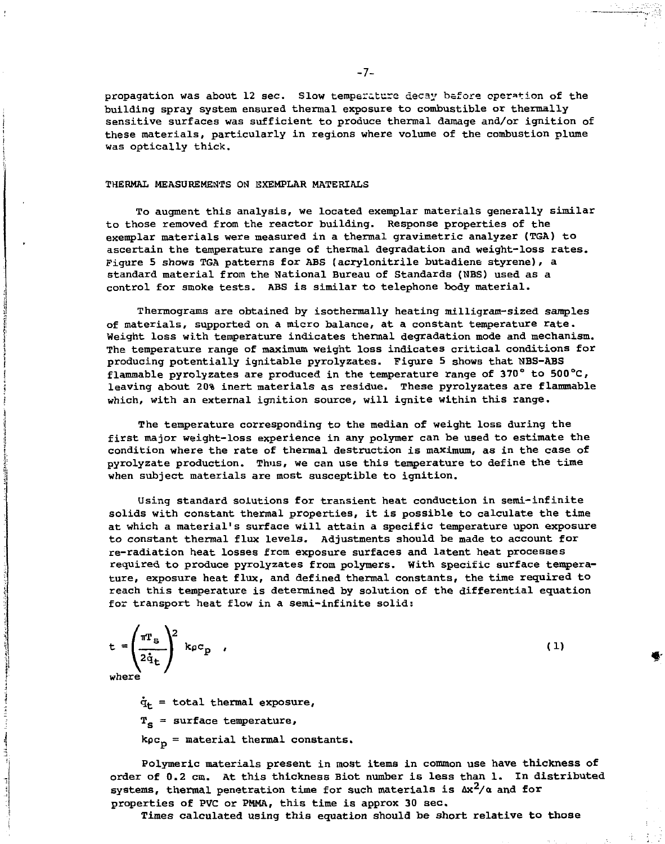propagation was about 12 sec. Slow temperature decay before operation of the building spray system ensured thermal exposure to combustible or thermally sensitive surfaces was sufficient to produce thermal damage and/or ignition of these materials, particularly in regions where volume of the combustion plume was optically thick.

## THERMAL MEASUREMENTS ON EXEMPLAR MATERIALS

To augment this analysis, we located exemplar materials generally similar to those removed from the reactor building. Response properties of the exemplar materials were measured in a thermal gravimetric analyzer (TGA) to ascertain the temperature range of thermal degradation and weight-loss rates. Figure 5 shows TGA patterns for ABS (acrylonitrile butadiene styrene), a standard material from the National Bureau of Standards (NBS) used as a control for smoke tests. ABS is similar to telephone body material.

Thermograms are obtained by isothermally heating milligram-sized samples of materials, supported on a micro balance, at a constant temperature rate. Weight loss with temperature indicates thermal degradation mode and mechanism. The temperature range of maximum weight loss indicates critical conditions for producing potentially ignitable pyrolyzates. Figure 5 shows that UBS-ABS flammable pyrolyzates are produced in the temperature range of  $370^{\circ}$  to  $500^{\circ}$ C, leaving about 20% inert materials as residue. These pyrolyzates are flammable which, with an external ignition source, will ignite within this range.

The temperature corresponding to the median of weight loss during the first major weight-loss experience in any polymer can be used to estimate the condition where the rate of thermal destruction is maximum, as in the case of pyrolyzate production. Thus, we can use this temperature to define the time when subject materials are most susceptible to ignition.

Using standard solutions for transient heat conduction in semi-infinite solids with constant thermal properties, it is possible to calculate the time at which a material's surface will attain a specific temperature upon exposure to constant thermal flux levels. Adjustments should be made to account for re-radiation heat losses from exposure surfaces and latent heat processes required to produce pyrolyzates from polymers. With specific surface temperature, exposure heat flux, and defined thermal constants, the time required to reach this temperature is determined by solution of the differential equation for transport heat flow in a semi-infinite solid:

$$
t = \left(\frac{\pi r_s}{2\dot{q}_t}\right)^2 k \rho c_p \qquad (1)
$$

in and and

 $q_t$  = total thermal exposure,  $T_c$  = surface temperature,  $k\rho c_n$  = material thermal constants.

Polymeric materials present in most items in common use have thickness of order of 0.2 cm. At this thickness Biot number is less than 1. In distributed systems, thermal penetration time for such materials is  $\Delta x^2/\alpha$  and for properties of PVC or PMMA, this time is approx 30 sec.

Times calculated using this equation should be short relative to those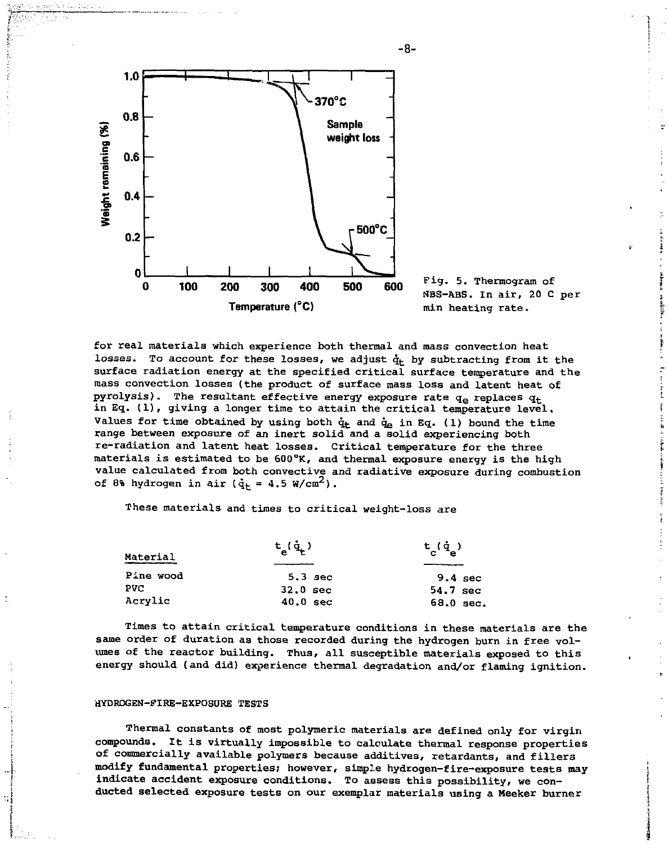



for real materials which experience both thermal and mass convection heat losses. To account for these losses, we adjust  $\dot{q}_t$  by subtracting from it the surface radiation energy at the specified critical surface temperature and the mass convection losses (the product of surface mass loss and latent heat of pyrolysis). The resultant effective energy exposure rate  $q_e$  replaces  $q_t$ in Eq. (1), giving a longer time to attain the critical temperature level. Values for time obtained by using both  $\dot{q}_t$  and  $\dot{q}_e$  in Eq. (1) bound the time range between exposure of an inert solid and a solid experiencing both re-radiation and latent heat losses. Critical temperature for the three materials is estimated to be 600°K, and thermal exposure energy is the high value calculated from both convective and radiative exposure during combustion of 8% hydrogen in air ( $\dot{q}_t = 4.5$  W/cm<sup>2</sup>).

These materials and times to critical weight-loss are

| Material  | $t_e(\dot{q}_t)$   | $t_c(\dot{q}_e)$    |
|-----------|--------------------|---------------------|
| Pine wood | $5.3 \text{ sec}$  | $9.4 \text{ sec}$   |
| PVC.      | $32.0$ sec         | 54.7 sec            |
| Acrylic   | $40.0 \text{ sec}$ | $68.0 \text{ sec.}$ |

Times to attain critical temperature conditions in these materials are the same order of duration as those recorded during the hydrogen burn in free volumes of the reactor building. Thus, all susceptible materials exposed to this energy should (and did) experience thermal degradation and/or flaming ignition.

## HYDROGEN-FIRE-EXPOSURE TESTS

Thermal constants of most polymeric materials are defined only for virgin compounds. It is virtually impossible to calculate thermal response properties of commercially available polymers because additives, retardants, and fillers modify fundamental properties; however, simple hydrogen-fire-exposure tests may indicate accident exposure conditions. To assess this possibility, we conducted selected exposure tests on our exemplar materials using a Meeker burner

**-8-**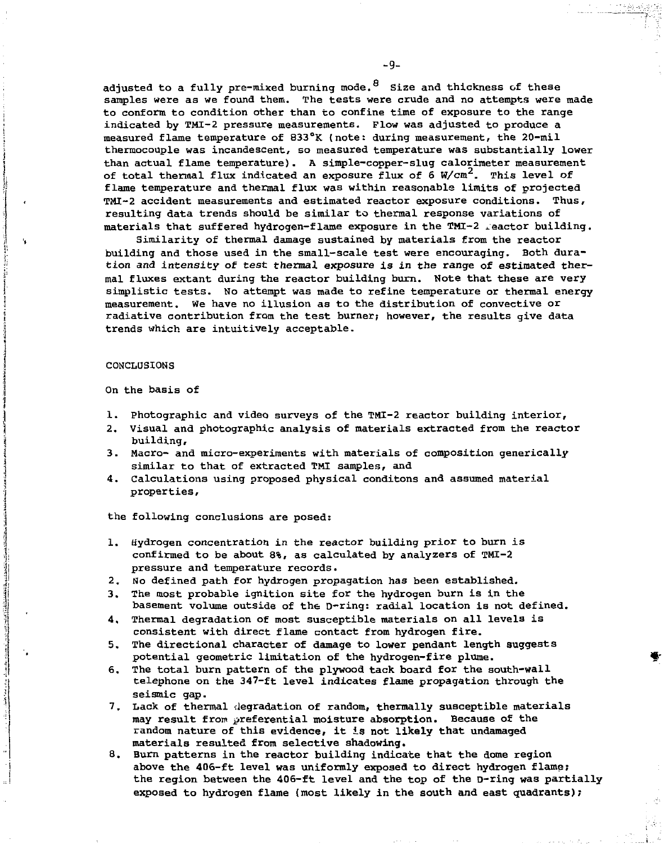adjusted to a fully pre-mixed burning mode.  $8$  Size and thickness of these samples were as we found them. The tests were crude and no attempts were made to conform to condition other than to confine time of exposure to the range indicated by TMI-2 pressure measurements. Flow was adjusted to produce a measured flame temperature of 833°K (note: during measurement, the 20-mil thermocouple was incandescent, so measured temperature was substantially lower than actual flame temperature). A simple-copper-slug calorimeter measurement of total thermal flux indicated an exposure flux of 6  $W/cm^2$ . This level of flame temperature and thermal flux was within reasonable limits of projected  $TM - 2$  accident measurements and estimated reactor exposure conditions. Thus, resulting data trends should be similar to thermal response variations of materials that suffered hydrogen-flame exposure in the TMI-2 reactor building.

Similarity of thermal damage sustained by materials from the reactor Similarity of thermal damage sustained by materials from the reactor building and those used in the small-scale test were encouraging. Both duration and intensity of test thermal exposure is in the range of estimated thermal fluxes extant during the reactor building burn. Note that these are very simplistic tests. No attempt was made to refine temperature or thermal energy measurement. We have no illusion as to the distribution of convective or radiative contribution from the test burner; however, the results give data trends which are intuitively acceptable.

## CONCLUSIONS

その他には、そのことに、その他には、「かんなん」ということを見えるということを見るという。

On the basis of

- 1. Photographic and video surveys of the TMI-2 reactor building interior,
- 2. Visual and photographic analysis of materials extracted from the reactor building,
- 3. Macro- and micro-experiments with materials of composition generically similar to that of extracted TMI samples, and
- 4. Calculations using proposed physical conditons and assumed material properties,

the following conclusions are posed:

- 1. Hydrogen concentration in the reactor building prior to burn is confirmed to be about 8%, as calculated by analyzers of TMI-2 pressure and temperature records.
- 2. No defined path for hydrogen propagation has been established.
- 3. The most probable ignition site for the hydrogen burn is in the basement volume outside of the D-ring: radial location is not defined.
- 4. Thermal degradation of most susceptible materials on all levels is consistent with direct flame contact from hydrogen fire.
- 5. The directional character of damage to lower pendant length suggests potential geometric limitation of the hydrogen-fire plume.
- 6. The total burn pattern of the plywood tack board for the south-wall telephone on the 347-ft level indicates flame propagation through the seismic gap.
- 7. Lack of thermal degradation of random, thermally susceptible materials may result from preferential moisture absorption. Because of the random nature of this evidence, it is not likely that undamaged materials resulted from selective shadowing.
- 8. Burn patterns in the reactor building indicate that the dome region above the 406-ft level was uniformly exposed to direct hydrogen flame; the region between the 406-ft level and the top of the D-ring was partially exposed to hydrogen flame (most likely in the south and east quadrants);